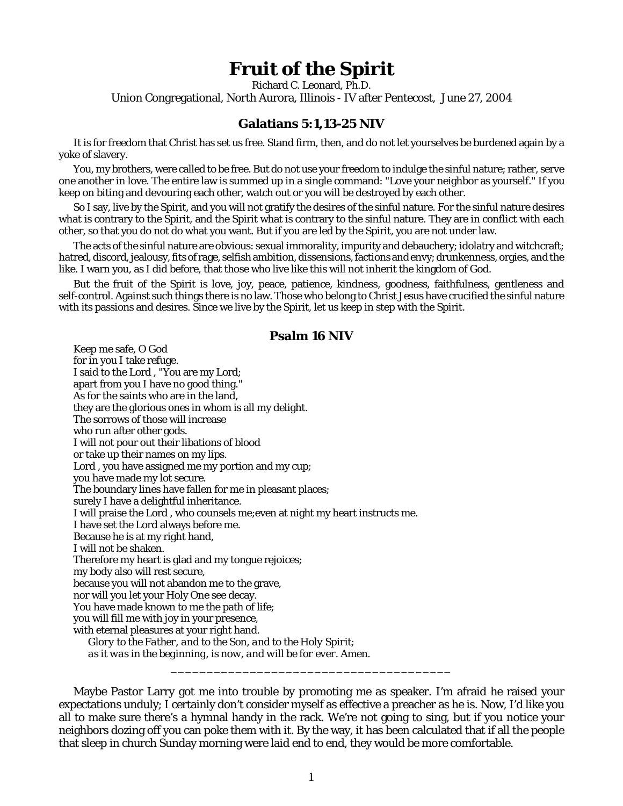## **Fruit of the Spirit**

Richard C. Leonard, Ph.D. Union Congregational, North Aurora, Illinois - IV after Pentecost, June 27, 2004

## **Galatians 5:1,13-25 NIV**

It is for freedom that Christ has set us free. Stand firm, then, and do not let yourselves be burdened again by a yoke of slavery.

You, my brothers, were called to be free. But do not use your freedom to indulge the sinful nature; rather, serve one another in love. The entire law is summed up in a single command: "Love your neighbor as yourself." If you keep on biting and devouring each other, watch out or you will be destroyed by each other.

So I say, live by the Spirit, and you will not gratify the desires of the sinful nature. For the sinful nature desires what is contrary to the Spirit, and the Spirit what is contrary to the sinful nature. They are in conflict with each other, so that you do not do what you want. But if you are led by the Spirit, you are not under law.

The acts of the sinful nature are obvious: sexual immorality, impurity and debauchery; idolatry and witchcraft; hatred, discord, jealousy, fits of rage, selfish ambition, dissensions, factions and envy; drunkenness, orgies, and the like. I warn you, as I did before, that those who live like this will not inherit the kingdom of God.

But the fruit of the Spirit is love, joy, peace, patience, kindness, goodness, faithfulness, gentleness and self-control. Against such things there is no law. Those who belong to Christ Jesus have crucified the sinful nature with its passions and desires. Since we live by the Spirit, let us keep in step with the Spirit.

## **Psalm 16 NIV**

Keep me safe, O God for in you I take refuge. I said to the Lord , "You are my Lord; apart from you I have no good thing." As for the saints who are in the land, they are the glorious ones in whom is all my delight. The sorrows of those will increase who run after other gods. I will not pour out their libations of blood or take up their names on my lips. Lord , you have assigned me my portion and my cup; you have made my lot secure. The boundary lines have fallen for me in pleasant places; surely I have a delightful inheritance. I will praise the Lord , who counsels me;even at night my heart instructs me. I have set the Lord always before me. Because he is at my right hand, I will not be shaken. Therefore my heart is glad and my tongue rejoices; my body also will rest secure, because you will not abandon me to the grave, nor will you let your Holy One see decay. You have made known to me the path of life; you will fill me with joy in your presence, with eternal pleasures at your right hand. *Glory to the Father, and to the Son, and to the Holy Spirit; as it was in the beginning, is now, and will be for ever. Amen.*

Maybe Pastor Larry got me into trouble by promoting me as speaker. I'm afraid he raised your expectations unduly; I certainly don't consider myself as effective a preacher as he is. Now, I'd like you all to make sure there's a hymnal handy in the rack. We're not going to sing, but if you notice your neighbors dozing off you can poke them with it. By the way, it has been calculated that if all the people that sleep in church Sunday morning were laid end to end, they would be more comfortable.

\_\_\_\_\_\_\_\_\_\_\_\_\_\_\_\_\_\_\_\_\_\_\_\_\_\_\_\_\_\_\_\_\_\_\_\_\_\_\_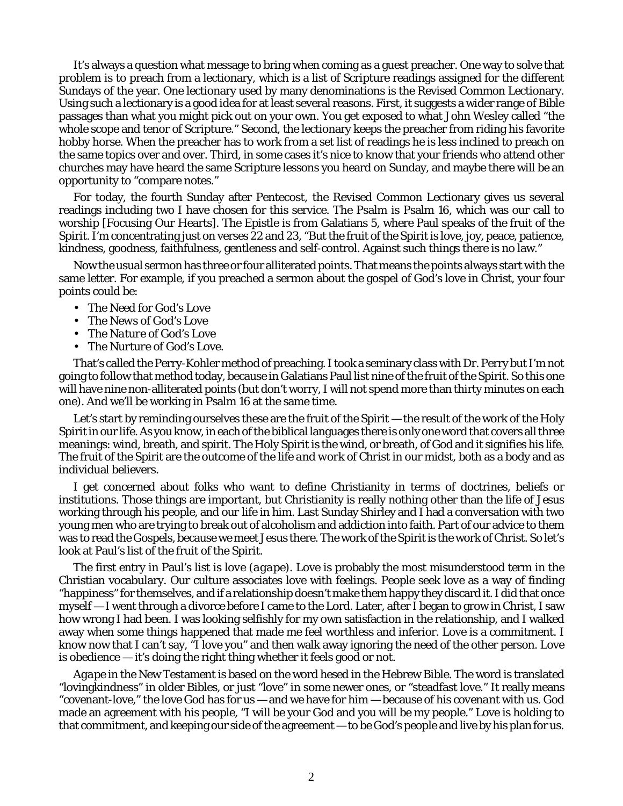It's always a question what message to bring when coming as a guest preacher. One way to solve that problem is to preach from a lectionary, which is a list of Scripture readings assigned for the different Sundays of the year. One lectionary used by many denominations is the Revised Common Lectionary. Using such a lectionary is a good idea for at least several reasons. First, it suggests a wider range of Bible passages than what you might pick out on your own. You get exposed to what John Wesley called "the whole scope and tenor of Scripture." Second, the lectionary keeps the preacher from riding his favorite hobby horse. When the preacher has to work from a set list of readings he is less inclined to preach on the same topics over and over. Third, in some cases it's nice to know that your friends who attend other churches may have heard the same Scripture lessons you heard on Sunday, and maybe there will be an opportunity to "compare notes."

For today, the fourth Sunday after Pentecost, the Revised Common Lectionary gives us several readings including two I have chosen for this service. The Psalm is Psalm 16, which was our call to worship [Focusing Our Hearts]. The Epistle is from Galatians 5, where Paul speaks of the fruit of the Spirit. I'm concentrating just on verses 22 and 23, "But the fruit of the Spirit is love, joy, peace, patience, kindness, goodness, faithfulness, gentleness and self-control. Against such things there is no law."

Now the usual sermon has three or four alliterated points. That means the points always start with the same letter. For example, if you preached a sermon about the gospel of God's love in Christ, your four points could be:

- The *Need* for God's Love
- The *News* of God's Love
- The *Nature* of God's Love
- The *Nurture* of God's Love.

That's called the Perry-Kohler method of preaching. I took a seminary class with Dr. Perry but I'm not going to follow that method today, because in Galatians Paul list *nine* of the fruit of the Spirit. So this one will have nine *non*-alliterated points (but don't worry, I will not spend more than thirty minutes on each one). And we'll be working in Psalm 16 at the same time.

Let's start by reminding ourselves these are the fruit of the Spirit — the result of the work of the Holy Spirit in our life.As you know, in each of the biblical languages there is only one word that covers all three meanings: wind, breath, and spirit. The Holy Spirit is the wind, or breath, of God and it signifies his *life.* The fruit of the Spirit are the outcome of the *life and work of Christ* in our midst, both as a body and as individual believers.

I get concerned about folks who want to define Christianity in terms of doctrines, beliefs or institutions. Those things are important, but Christianity is really nothing other than the *life of Jesus* working through his people, and *our life in him.* Last Sunday Shirley and I had a conversation with two young men who are trying to break out of alcoholism and addiction into faith. Part of our advice to them was to read the Gospels, because we meet Jesus there. The work of the Spirit is the work of Christ. So let's look at Paul's list of the fruit of the Spirit.

The first entry in Paul's list is *love (agape).* Love is probably the most misunderstood term in the Christian vocabulary. Our culture associates love with *feelings.* People seek *love* as a way of finding "happiness" for themselves, and if a relationship doesn't make them happy they discard it. I did that once myself — I went through a divorce before I came to the Lord. Later, after I began to grow in Christ, I saw how wrong I had been. I was looking selfishly for my own satisfaction in the relationship, and I walked away when some things happened that made me feel worthless and inferior. Love is a commitment. I know now that I can't say, "I love you" and then walk away ignoring the need of the other person. Love is obedience — it's doing the right thing whether it feels good or not.

*Agape* in the New Testament is based on the word *hesed* in the Hebrew Bible. The word is translated "lovingkindness" in older Bibles, or just "love" in some newer ones, or "steadfast love." It really means "covenant-love," the love God has for us — and we have for him — because of his *covenant* with us. God made an agreement with his people, "I will be your God and you will be my people." Love is holding to that commitment, and keeping our side of the agreement — to be God's people and live by his plan for us.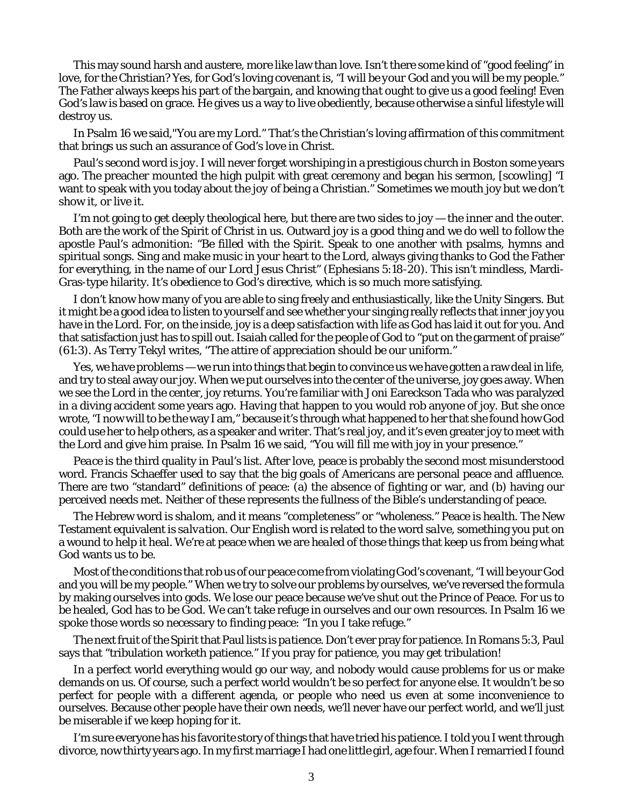This may sound harsh and austere, more like law than love. Isn't there some kind of "good feeling" in love, for the Christian? Yes, for God's loving covenant is, "*I will be your God* and you will be my people." The Father always keeps his part of the bargain, and knowing *that* ought to give us a good feeling! Even God's law is based on grace. He gives us a way to live obediently, because otherwise a sinful lifestyle will destroy us.

In Psalm 16 we said,"You are my Lord." That's the Christian's loving affirmation of this commitment that brings us such an assurance of God's love in Christ.

Paul's second word is *joy*. I will never forget worshiping in a prestigious church in Boston some years ago. The preacher mounted the high pulpit with great ceremony and began his sermon, *[scowling]* "I want to speak with you today about the *joy* of being a Christian." Sometimes we mouth joy but we don't show it, or live it.

I'm not going to get deeply theological here, but there are two sides to joy — the inner and the outer. Both are the work of the Spirit of Christ in us. Outward joy is a good thing and we do well to follow the apostle Paul's admonition: "Be filled with the Spirit. Speak to one another with psalms, hymns and spiritual songs. Sing and make music in your heart to the Lord, always giving thanks to God the Father for everything, in the name of our Lord Jesus Christ" (Ephesians 5:18-20). This isn't mindless, Mardi-Gras-type hilarity. It's obedience to God's directive, which is so much more satisfying.

I don't know how many of you are able to sing freely and enthusiastically, like the Unity Singers. But it might be a good idea to listen to yourself and see whether your singing really reflects that *inner* joy you have in the Lord. For, on the inside, joy is a deep satisfaction with life as God has laid it out for you. And that satisfaction just has to spill out. Isaiah called for the people of God to "put on the garment of praise" (61:3). As Terry Tekyl writes, "The attire of appreciation should be our uniform."

Yes, we have problems — we run into things that begin to convince us we have gotten a raw deal in life, and try to steal away our joy. When we put ourselves into the center of the universe, joy goes away. When we see the Lord in the center, joy returns. You're familiar with Joni Eareckson Tada who was paralyzed in a diving accident some years ago. Having that happen to you would rob anyone of joy. But she once wrote, "I now *will* to be the way I am," because it's through what happened to her that she found how God could use her to help others, as a speaker and writer. That's real joy, and it's even greater joy to meet with the Lord and give him praise. In Psalm 16 we said, "You will fill me with joy in your presence."

*Peace* is the third quality in Paul's list. After love, peace is probably the second most misunderstood word. Francis Schaeffer used to say that the big goals of Americans are personal peace and affluence. There are two "standard" definitions of peace: (a) the absence of fighting or war, and (b) having our perceived needs met. Neither of these represents the fullness of the Bible's understanding of peace.

The Hebrew word is *shalom*, and it means "completeness" or "wholeness." Peace is *health*. The New Testament equivalent is *salvation*. Our English word is related to the word *salve*, something you put on a wound to help it heal. We're at peace when we are *healed* of those things that keep us from being what God wants us to be.

Most of the conditions that rob us of our peace come from violating God's covenant, "I will be your God and you will be my people." When we try to solve our problems by ourselves, we've reversed the formula by making ourselves into gods. We lose our peace because we've shut out the Prince of Peace. For us to be healed, God has to be God. We can't take refuge in ourselves and our own resources. In Psalm 16 we spoke those words so necessary to finding peace: "In you I take refuge."

The next fruit of the Spirit that Paul lists is *patience.* Don't ever pray for patience. In Romans 5:3, Paul says that "tribulation worketh patience." If you pray for patience, you may get tribulation!

In a perfect world everything would go our way, and nobody would cause problems for us or make demands on us. Of course, such a perfect world wouldn't be so perfect for anyone else. It wouldn't be so perfect for people with a different agenda, or people who need us even at some inconvenience to ourselves. Because other people have their own needs, we'll never have our perfect world, and we'll just be miserable if we keep hoping for it.

I'm sure everyone has his favorite story of things that have tried his patience. I told you I went through divorce, now thirty years ago. In my first marriage I had one little girl, age four. When I remarried I found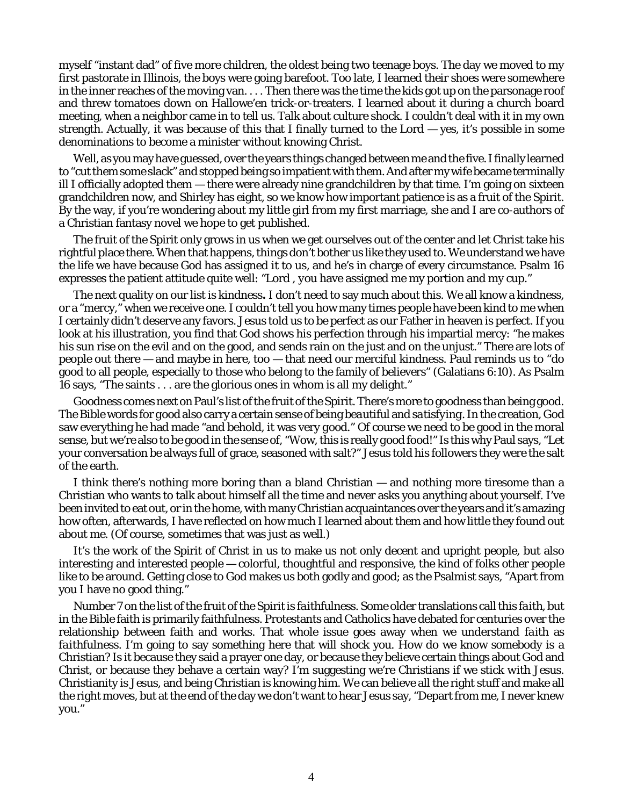myself "instant dad" of five more children, the oldest being two teenage boys. The day we moved to my first pastorate in Illinois, the boys were going barefoot. Too late, I learned their shoes were somewhere in the inner reaches of the moving van. . . . Then there was the time the kids got up on the parsonage roof and threw tomatoes down on Hallowe'en trick-or-treaters. I learned about it during a church board meeting, when a neighbor came in to tell us. Talk about culture shock. I couldn't deal with it in my own strength. Actually, it was because of this that I finally turned to the Lord — yes, it's possible in some denominations to become a minister without knowing Christ.

Well, as you may have guessed, over the years things changed between me and the five. I finally learned to "cut them some slack" and stopped being so impatient with them. And after my wife became terminally ill I officially adopted them — there were already nine grandchildren by that time. I'm going on sixteen grandchildren now, and Shirley has eight, so we know how important patience is as a fruit of the Spirit. By the way, if you're wondering about my little girl from my first marriage, she and I are co-authors of a Christian fantasy novel we hope to get published.

The fruit of the Spirit only grows in us when we get ourselves out of the center and let Christ take his rightful place there. When that happens, things don't bother us like they used to. We understand we have the life we have because God has assigned it to us, and he's in charge of every circumstance. Psalm 16 expresses the patient attitude quite well: "Lord , *you* have assigned me my portion and my cup."

The next quality on our list is *kindness***.** I don't need to say much about this. We all know a kindness, or a "mercy," when we receive one. I couldn't tell you how many times people have been kind to me when I certainly didn't deserve any favors. Jesus told us to be perfect as our Father in heaven is perfect. If you look at his illustration, you find that God shows his perfection through his impartial mercy: "he makes his sun rise on the evil and on the good, and sends rain on the just and on the unjust." There are lots of people out there — and maybe in here, too — that need our merciful kindness. Paul reminds us to "do good to all people, especially to those who belong to the family of believers" (Galatians 6:10). As Psalm 16 says, "The saints . . . are the glorious ones in whom is all my delight."

*Goodness* comes next on Paul's list of the fruit of the Spirit. There's more to goodness than being good. The Bible words for *good* also carry a certain sense of being *beautiful* and *satisfying*. In the creation, God saw everything he had made "and behold, it was very *good*." Of course we need to be good in the moral sense, but we're also to be good in the sense of, "Wow, this is really *good* food!" Is this why Paul says, "Let your conversation be always full of grace, seasoned with salt?" Jesus told his followers they were the salt of the earth.

I think there's nothing more boring than a bland Christian — and nothing more tiresome than a Christian who wants to talk about himself all the time and never asks you anything about yourself. I've been invited to eat out, or in the home, with many Christian acquaintances over the years and it's amazing how often, afterwards, I have reflected on how much I learned about *them* and how little they found out about *me*. (Of course, sometimes that was just as well.)

It's the work of the Spirit of Christ in us to make us not only decent and upright people, but also *interesting* and *interested* people — colorful, thoughtful and responsive, the kind of folks other people like to be around. Getting close to God makes us both godly and good; as the Psalmist says, "Apart from you I have no good thing."

Number 7 on the list of the fruit of the Spirit is *faithfulness*. Some older translations call this *faith*, but in the Bible faith is primarily faithfulness. Protestants and Catholics have debated for centuries over the relationship between faith and works. That whole issue goes away when we understand *faith* as *faithfulness*. I'm going to say something here that will shock you. How do we know somebody is a Christian? Is it because they said a prayer one day, or because they believe certain things about God and Christ, or because they behave a certain way? I'm suggesting we're Christians if we *stick with Jesus*. Christianity is *Jesus*, and being Christian is knowing *him*. We can believe all the right stuff and make all the right moves, but at the end of the day we don't want to hear Jesus say, "Depart from me, I never *knew* you."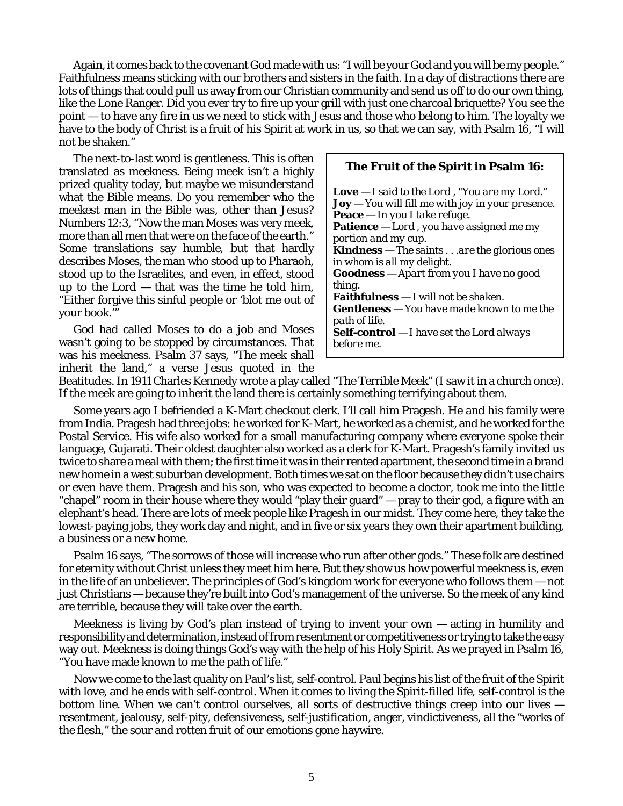Again, it comes back to the covenant God made with us: "I will be your God and you will be my people." Faithfulness means sticking with our brothers and sisters in the faith. In a day of distractions there are lots of things that could pull us away from our Christian community and send us off to do our own thing, like the Lone Ranger. Did you ever try to fire up your grill with just one charcoal briquette? You see the point — to have any fire in us we need to stick with Jesus and those who belong to him. The loyalty we have to the body of Christ is a fruit of his Spirit at work in us, so that we can say, with Psalm 16, "I will not be shaken."

The next-to-last word is *gentleness*. This is often translated as *meekness*. Being meek isn't a highly prized quality today, but maybe we misunderstand what the Bible means. Do you remember who the meekest man in the Bible was, other than Jesus? Numbers 12:3, "Now the man Moses was very meek, more than all men that were on the face of the earth." Some translations say *humble,* but that hardly describes Moses, the man who stood up to Pharaoh, stood up to the Israelites, and even, in effect, stood up to the Lord  $-$  that was the time he told him, "Either forgive this sinful people or 'blot me out of your book.'"

God had called Moses to do a job and Moses wasn't going to be stopped by circumstances. That was his meekness. Psalm 37 says, "The meek shall inherit the land," a verse Jesus quoted in the

## **The Fruit of the Spirit in Psalm 16:**

**Love** — *I said to the Lord , "You are my Lord*." **Joy** — *You will fill me with joy in your presence*. **Peace** — *In you I take refuge.* **Patience** — *Lord , you have assigned me my portion and my cup*. **Kindness** — *The saints . . .are the glorious ones in whom is all my delight.* **Goodness** — *Apart from you I have no good thing.* **Faithfulness** — *I will not be shaken.* **Gentleness** — *You have made known to me the path of life.* **Self-control** — *I have set the Lord always before me.*

Beatitudes. In 1911 Charles Kennedy wrote a play called "The Terrible Meek" (I saw it in a church once). If the meek are going to inherit the land there is certainly something terrifying about them.

Some years ago I befriended a K-Mart checkout clerk. I'll call him Pragesh. He and his family were from India. Pragesh had three jobs: he worked for K-Mart, he worked as a chemist, and he worked for the Postal Service. His wife also worked for a small manufacturing company where everyone spoke their language, Gujarati. Their oldest daughter also worked as a clerk for K-Mart. Pragesh's family invited us twice to share a meal with them; the first time it was in their rented apartment, the second time in a brand new home in a west suburban development. Both times we sat on the floor because they didn't use chairs or even have them. Pragesh and his son, who was expected to become a doctor, took me into the little "chapel" room in their house where they would "play their guard" — pray to their god, a figure with an elephant's head. There are lots of meek people like Pragesh in our midst. They come here, they take the lowest-paying jobs, they work day and night, and in five or six years they own their apartment building, a business or a new home.

Psalm 16 says, "The sorrows of those will increase who run after other gods." These folk are destined for eternity without Christ unless they meet him *here*. But they show us how powerful meekness is, even in the life of an unbeliever. The principles of God's kingdom work for everyone who follows them — not just Christians — because they're built into God's management of the universe. So the meek of any kind are *terrible*, because they will take over the earth.

Meekness is living by God's plan instead of trying to invent your own — acting in humility and responsibility and determination, instead of from resentment or competitiveness or trying to take the easy way out. Meekness is doing things God's way with the help of his Holy Spirit. As we prayed in Psalm 16, "*You* have made known to me the path of life."

Now we come to the last quality on Paul's list, *self-control*. Paul begins his list of the fruit of the Spirit with *love*, and he ends with *self-control*. When it comes to living the Spirit-filled life, *self-control is the bottom line*. When we can't control ourselves, all sorts of destructive things creep into our lives resentment, jealousy, self-pity, defensiveness, self-justification, anger, vindictiveness, all the "works of the flesh," the sour and rotten fruit of our emotions gone haywire.